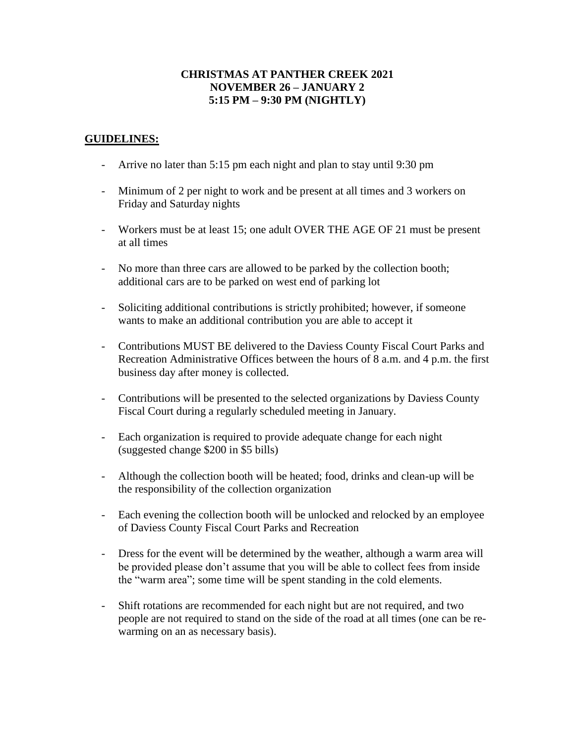## **CHRISTMAS AT PANTHER CREEK 2021 NOVEMBER 26 – JANUARY 2 5:15 PM – 9:30 PM (NIGHTLY)**

## **GUIDELINES:**

- Arrive no later than 5:15 pm each night and plan to stay until 9:30 pm
- Minimum of 2 per night to work and be present at all times and 3 workers on Friday and Saturday nights
- Workers must be at least 15; one adult OVER THE AGE OF 21 must be present at all times
- No more than three cars are allowed to be parked by the collection booth; additional cars are to be parked on west end of parking lot
- Soliciting additional contributions is strictly prohibited; however, if someone wants to make an additional contribution you are able to accept it
- Contributions MUST BE delivered to the Daviess County Fiscal Court Parks and Recreation Administrative Offices between the hours of 8 a.m. and 4 p.m. the first business day after money is collected.
- Contributions will be presented to the selected organizations by Daviess County Fiscal Court during a regularly scheduled meeting in January.
- Each organization is required to provide adequate change for each night (suggested change \$200 in \$5 bills)
- Although the collection booth will be heated; food, drinks and clean-up will be the responsibility of the collection organization
- Each evening the collection booth will be unlocked and relocked by an employee of Daviess County Fiscal Court Parks and Recreation
- Dress for the event will be determined by the weather, although a warm area will be provided please don't assume that you will be able to collect fees from inside the "warm area"; some time will be spent standing in the cold elements.
- Shift rotations are recommended for each night but are not required, and two people are not required to stand on the side of the road at all times (one can be rewarming on an as necessary basis).